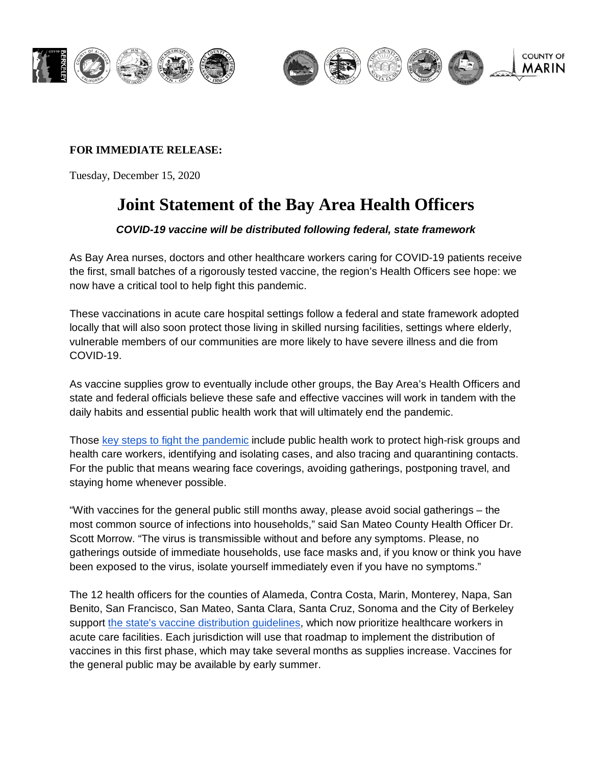

## **FOR IMMEDIATE RELEASE:**

Tuesday, December 15, 2020

# **Joint Statement of the Bay Area Health Officers**

## *COVID-19 vaccine will be distributed following federal, state framework*

As Bay Area nurses, doctors and other healthcare workers caring for COVID-19 patients receive the first, small batches of a rigorously tested vaccine, the region's Health Officers see hope: we now have a critical tool to help fight this pandemic.

These vaccinations in acute care hospital settings follow a federal and state framework adopted locally that will also soon protect those living in skilled nursing facilities, settings where elderly, vulnerable members of our communities are more likely to have severe illness and die from COVID-19.

As vaccine supplies grow to eventually include other groups, the Bay Area's Health Officers and state and federal officials believe these safe and effective vaccines will work in tandem with the daily habits and essential public health work that will ultimately end the pandemic.

Those [key steps to fight the pandemic](https://www.cdc.gov/mmwr/volumes/69/wr/mm6949e2.htm) include public health work to protect high-risk groups and health care workers, identifying and isolating cases, and also tracing and quarantining contacts. For the public that means wearing face coverings, avoiding gatherings, postponing travel, and staying home whenever possible.

"With vaccines for the general public still months away, please avoid social gatherings – the most common source of infections into households," said San Mateo County Health Officer Dr. Scott Morrow. "The virus is transmissible without and before any symptoms. Please, no gatherings outside of immediate households, use face masks and, if you know or think you have been exposed to the virus, isolate yourself immediately even if you have no symptoms."

The 12 health officers for the counties of Alameda, Contra Costa, Marin, Monterey, Napa, San Benito, San Francisco, San Mateo, Santa Clara, Santa Cruz, Sonoma and the City of Berkeley support [the state's vaccine distribution guidelines,](https://www.cdph.ca.gov/Programs/CID/DCDC/Pages/COVID-19/CDPH-Allocation-Guidelines-for-COVID-19-Vaccine-During-Phase-1A-Recommendations.aspx) which now prioritize healthcare workers in acute care facilities. Each jurisdiction will use that roadmap to implement the distribution of vaccines in this first phase, which may take several months as supplies increase. Vaccines for the general public may be available by early summer.